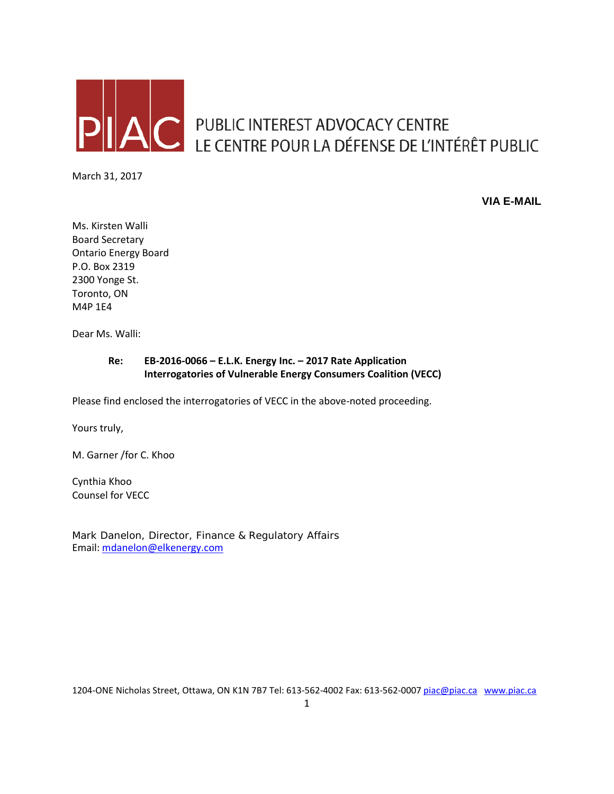

AC PUBLIC INTEREST ADVOCACY CENTRE<br>LE CENTRE POUR LA DÉFENSE DE L'INTÉRÊT PUBLIC

March 31, 2017

**VIA E-MAIL**

Ms. Kirsten Walli Board Secretary Ontario Energy Board P.O. Box 2319 2300 Yonge St. Toronto, ON M4P 1E4

Dear Ms. Walli:

#### **Re: EB-2016-0066 – E.L.K. Energy Inc. – 2017 Rate Application Interrogatories of Vulnerable Energy Consumers Coalition (VECC)**

Please find enclosed the interrogatories of VECC in the above-noted proceeding.

Yours truly,

M. Garner /for C. Khoo

Cynthia Khoo Counsel for VECC

Mark Danelon, Director, Finance & Regulatory Affairs Email: [mdanelon@elkenergy.com](mailto:mdanelon@elkenergy.com)

1204-ONE Nicholas Street, Ottawa, ON K1N 7B7 Tel: 613-562-4002 Fax: 613-562-000[7 piac@piac.ca](mailto:piac@piac.ca) [www.piac.ca](http://www.piac.ca/)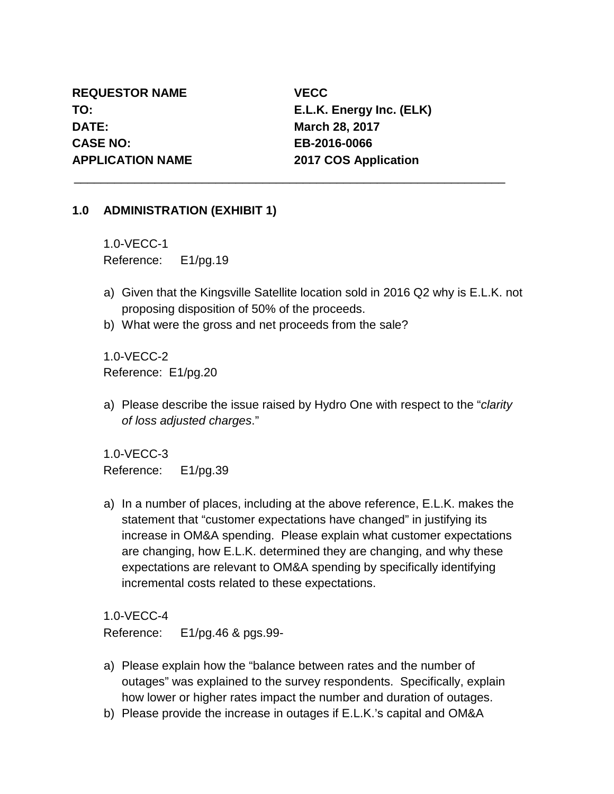**REQUESTOR NAME VECC DATE: March 28, 2017 CASE NO: EB-2016-0066 APPLICATION NAME 2017 COS Application**

**TO: E.L.K. Energy Inc. (ELK)**

#### **1.0 ADMINISTRATION (EXHIBIT 1)**

1.0-VECC-1 Reference: E1/pg.19

a) Given that the Kingsville Satellite location sold in 2016 Q2 why is E.L.K. not proposing disposition of 50% of the proceeds.

\_\_\_\_\_\_\_\_\_\_\_\_\_\_\_\_\_\_\_\_\_\_\_\_\_\_\_\_\_\_\_\_\_\_\_\_\_\_\_\_\_\_\_\_\_\_\_\_\_\_\_\_\_\_\_\_\_\_\_\_\_\_\_\_

b) What were the gross and net proceeds from the sale?

1.0-VECC-2 Reference: E1/pg.20

a) Please describe the issue raised by Hydro One with respect to the "*clarity of loss adjusted charges*."

1.0-VECC-3 Reference: E1/pg.39

a) In a number of places, including at the above reference, E.L.K. makes the statement that "customer expectations have changed" in justifying its increase in OM&A spending. Please explain what customer expectations are changing, how E.L.K. determined they are changing, and why these expectations are relevant to OM&A spending by specifically identifying incremental costs related to these expectations.

1.0-VECC-4

Reference: E1/pg.46 & pgs.99-

- a) Please explain how the "balance between rates and the number of outages" was explained to the survey respondents. Specifically, explain how lower or higher rates impact the number and duration of outages.
- b) Please provide the increase in outages if E.L.K.'s capital and OM&A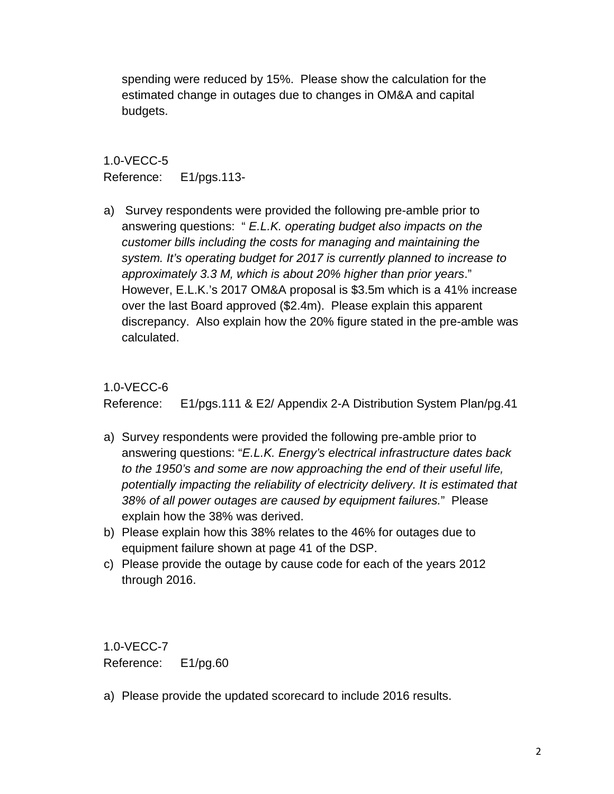spending were reduced by 15%. Please show the calculation for the estimated change in outages due to changes in OM&A and capital budgets.

## 1.0-VECC-5 Reference: E1/pgs.113-

a) Survey respondents were provided the following pre-amble prior to answering questions: " *E.L.K. operating budget also impacts on the customer bills including the costs for managing and maintaining the system. It's operating budget for 2017 is currently planned to increase to approximately 3.3 M, which is about 20% higher than prior years*." However, E.L.K.'s 2017 OM&A proposal is \$3.5m which is a 41% increase over the last Board approved (\$2.4m). Please explain this apparent discrepancy. Also explain how the 20% figure stated in the pre-amble was calculated.

## 1.0-VECC-6

Reference: E1/pgs.111 & E2/ Appendix 2-A Distribution System Plan/pg.41

- a) Survey respondents were provided the following pre-amble prior to answering questions: "*E.L.K. Energy's electrical infrastructure dates back to the 1950's and some are now approaching the end of their useful life, potentially impacting the reliability of electricity delivery. It is estimated that 38% of all power outages are caused by equipment failures.*" Please explain how the 38% was derived.
- b) Please explain how this 38% relates to the 46% for outages due to equipment failure shown at page 41 of the DSP.
- c) Please provide the outage by cause code for each of the years 2012 through 2016.

1.0-VECC-7 Reference: E1/pg.60

a) Please provide the updated scorecard to include 2016 results.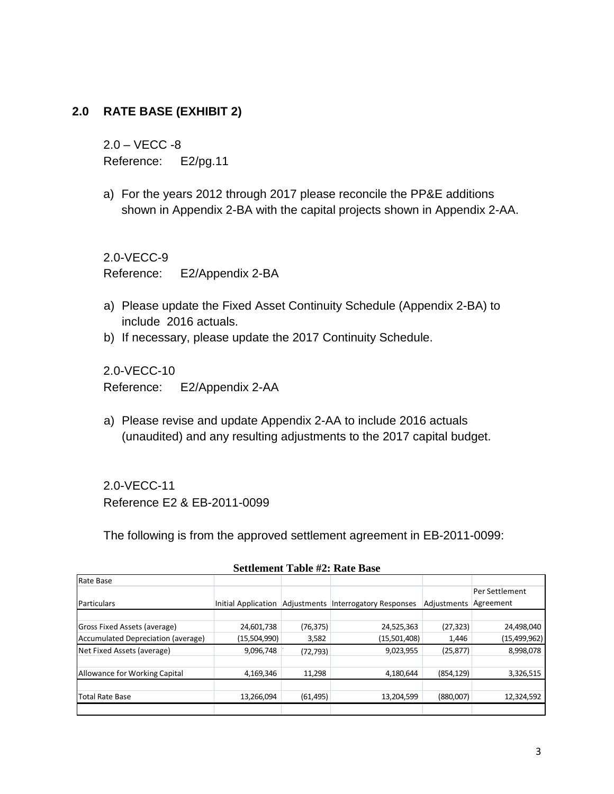#### **2.0 RATE BASE (EXHIBIT 2)**

2.0 – VECC -8 Reference: E2/pg.11

a) For the years 2012 through 2017 please reconcile the PP&E additions shown in Appendix 2-BA with the capital projects shown in Appendix 2-AA.

2.0-VECC-9 Reference: E2/Appendix 2-BA

- a) Please update the Fixed Asset Continuity Schedule (Appendix 2-BA) to include 2016 actuals.
- b) If necessary, please update the 2017 Continuity Schedule.

2.0-VECC-10 Reference: E2/Appendix 2-AA

a) Please revise and update Appendix 2-AA to include 2016 actuals (unaudited) and any resulting adjustments to the 2017 capital budget.

2.0-VECC-11 Reference E2 & EB-2011-0099

The following is from the approved settlement agreement in EB-2011-0099:

| Rate Base                          |                     |           |                                     |             |                |
|------------------------------------|---------------------|-----------|-------------------------------------|-------------|----------------|
|                                    |                     |           |                                     |             | Per Settlement |
| Particulars                        | Initial Application |           | Adjustments Interrogatory Responses | Adjustments | Agreement      |
|                                    |                     |           |                                     |             |                |
| Gross Fixed Assets (average)       | 24,601,738          | (76, 375) | 24,525,363                          | (27, 323)   | 24,498,040     |
| Accumulated Depreciation (average) | (15,504,990)        | 3,582     | (15,501,408)                        | 1,446       | (15, 499, 962) |
| Net Fixed Assets (average)         | 9,096,748           | (72, 793) | 9,023,955                           | (25, 877)   | 8,998,078      |
|                                    |                     |           |                                     |             |                |
| Allowance for Working Capital      | 4,169,346           | 11,298    | 4,180,644                           | (854, 129)  | 3,326,515      |
|                                    |                     |           |                                     |             |                |
| Total Rate Base                    | 13,266,094          | (61, 495) | 13,204,599                          | (880,007)   | 12,324,592     |
|                                    |                     |           |                                     |             |                |

#### **Settlement Table #2: Rate Base**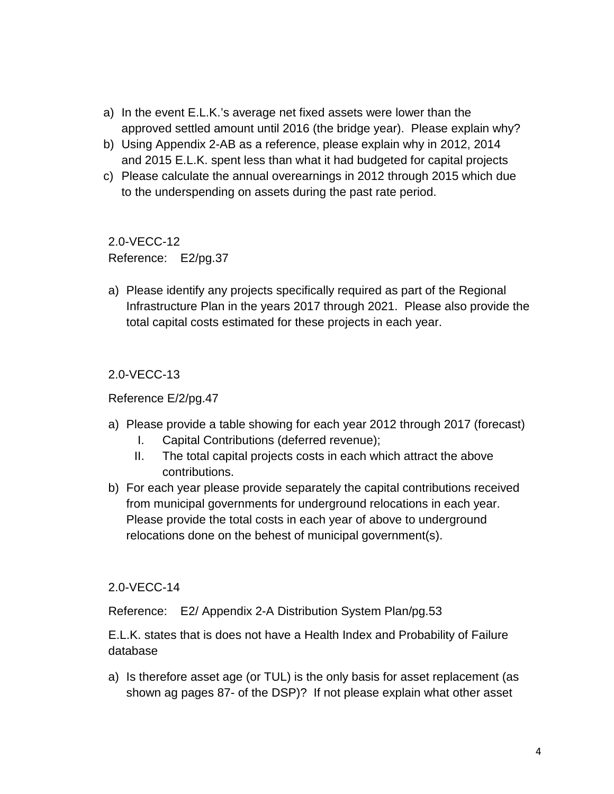- a) In the event E.L.K.'s average net fixed assets were lower than the approved settled amount until 2016 (the bridge year). Please explain why?
- b) Using Appendix 2-AB as a reference, please explain why in 2012, 2014 and 2015 E.L.K. spent less than what it had budgeted for capital projects
- c) Please calculate the annual overearnings in 2012 through 2015 which due to the underspending on assets during the past rate period.

2.0-VECC-12 Reference: E2/pg.37

a) Please identify any projects specifically required as part of the Regional Infrastructure Plan in the years 2017 through 2021. Please also provide the total capital costs estimated for these projects in each year.

2.0-VECC-13

Reference E/2/pg.47

- a) Please provide a table showing for each year 2012 through 2017 (forecast)
	- I. Capital Contributions (deferred revenue);
	- II. The total capital projects costs in each which attract the above contributions.
- b) For each year please provide separately the capital contributions received from municipal governments for underground relocations in each year. Please provide the total costs in each year of above to underground relocations done on the behest of municipal government(s).

#### 2.0-VECC-14

Reference: E2/ Appendix 2-A Distribution System Plan/pg.53

E.L.K. states that is does not have a Health Index and Probability of Failure database

a) Is therefore asset age (or TUL) is the only basis for asset replacement (as shown ag pages 87- of the DSP)? If not please explain what other asset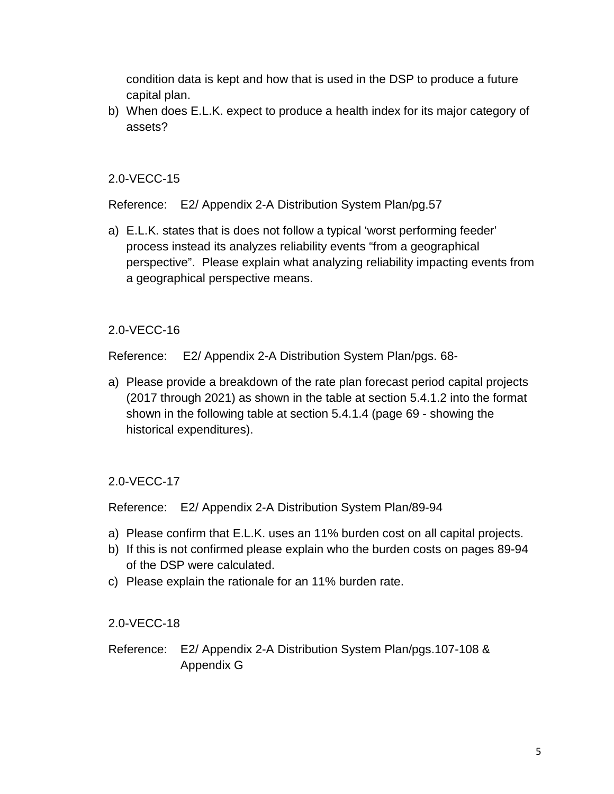condition data is kept and how that is used in the DSP to produce a future capital plan.

b) When does E.L.K. expect to produce a health index for its major category of assets?

#### 2.0-VECC-15

Reference: E2/ Appendix 2-A Distribution System Plan/pg.57

a) E.L.K. states that is does not follow a typical 'worst performing feeder' process instead its analyzes reliability events "from a geographical perspective". Please explain what analyzing reliability impacting events from a geographical perspective means.

## 2.0-VECC-16

Reference: E2/ Appendix 2-A Distribution System Plan/pgs. 68-

a) Please provide a breakdown of the rate plan forecast period capital projects (2017 through 2021) as shown in the table at section 5.4.1.2 into the format shown in the following table at section 5.4.1.4 (page 69 - showing the historical expenditures).

# 2.0-VECC-17

Reference: E2/ Appendix 2-A Distribution System Plan/89-94

- a) Please confirm that E.L.K. uses an 11% burden cost on all capital projects.
- b) If this is not confirmed please explain who the burden costs on pages 89-94 of the DSP were calculated.
- c) Please explain the rationale for an 11% burden rate.

## 2.0-VECC-18

Reference: E2/ Appendix 2-A Distribution System Plan/pgs.107-108 & Appendix G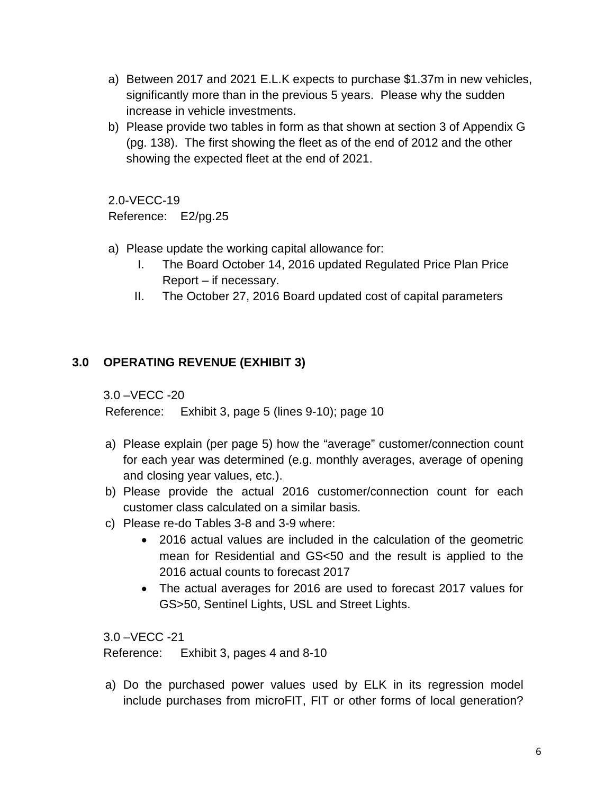- a) Between 2017 and 2021 E.L.K expects to purchase \$1.37m in new vehicles, significantly more than in the previous 5 years. Please why the sudden increase in vehicle investments.
- b) Please provide two tables in form as that shown at section 3 of Appendix G (pg. 138). The first showing the fleet as of the end of 2012 and the other showing the expected fleet at the end of 2021.

2.0-VECC-19 Reference: E2/pg.25

- a) Please update the working capital allowance for:
	- I. The Board October 14, 2016 updated Regulated Price Plan Price Report – if necessary.
	- II. The October 27, 2016 Board updated cost of capital parameters

## **3.0 OPERATING REVENUE (EXHIBIT 3)**

3.0 –VECC -20

Reference: Exhibit 3, page 5 (lines 9-10); page 10

- a) Please explain (per page 5) how the "average" customer/connection count for each year was determined (e.g. monthly averages, average of opening and closing year values, etc.).
- b) Please provide the actual 2016 customer/connection count for each customer class calculated on a similar basis.
- c) Please re-do Tables 3-8 and 3-9 where:
	- 2016 actual values are included in the calculation of the geometric mean for Residential and GS<50 and the result is applied to the 2016 actual counts to forecast 2017
	- The actual averages for 2016 are used to forecast 2017 values for GS>50, Sentinel Lights, USL and Street Lights.

3.0 –VECC -21

Reference: Exhibit 3, pages 4 and 8-10

a) Do the purchased power values used by ELK in its regression model include purchases from microFIT, FIT or other forms of local generation?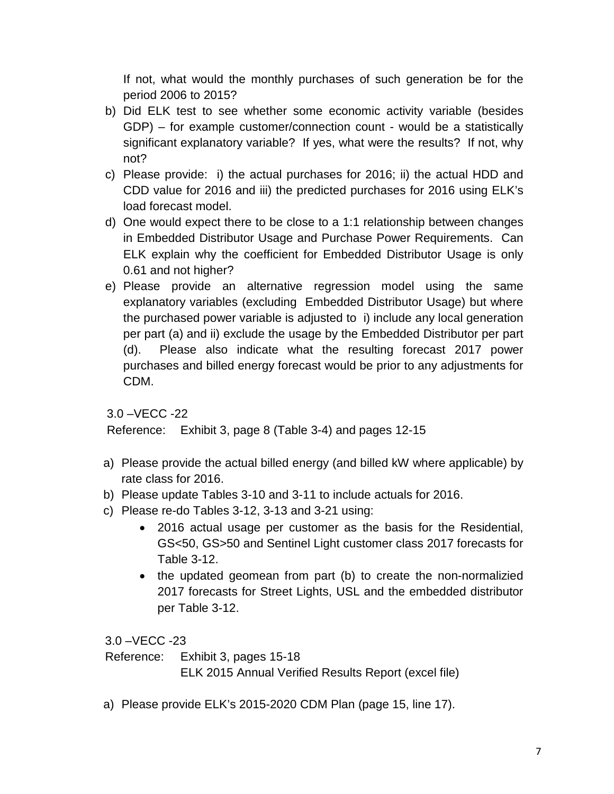If not, what would the monthly purchases of such generation be for the period 2006 to 2015?

- b) Did ELK test to see whether some economic activity variable (besides GDP) – for example customer/connection count - would be a statistically significant explanatory variable? If yes, what were the results? If not, why not?
- c) Please provide: i) the actual purchases for 2016; ii) the actual HDD and CDD value for 2016 and iii) the predicted purchases for 2016 using ELK's load forecast model.
- d) One would expect there to be close to a 1:1 relationship between changes in Embedded Distributor Usage and Purchase Power Requirements. Can ELK explain why the coefficient for Embedded Distributor Usage is only 0.61 and not higher?
- e) Please provide an alternative regression model using the same explanatory variables (excluding Embedded Distributor Usage) but where the purchased power variable is adjusted to i) include any local generation per part (a) and ii) exclude the usage by the Embedded Distributor per part (d). Please also indicate what the resulting forecast 2017 power purchases and billed energy forecast would be prior to any adjustments for CDM.

```
3.0 –VECC -22
```
Reference: Exhibit 3, page 8 (Table 3-4) and pages 12-15

- a) Please provide the actual billed energy (and billed kW where applicable) by rate class for 2016.
- b) Please update Tables 3-10 and 3-11 to include actuals for 2016.
- c) Please re-do Tables 3-12, 3-13 and 3-21 using:
	- 2016 actual usage per customer as the basis for the Residential, GS<50, GS>50 and Sentinel Light customer class 2017 forecasts for Table 3-12.
	- the updated geomean from part (b) to create the non-normalizied 2017 forecasts for Street Lights, USL and the embedded distributor per Table 3-12.

3.0 –VECC -23

Reference: Exhibit 3, pages 15-18

ELK 2015 Annual Verified Results Report (excel file)

a) Please provide ELK's 2015-2020 CDM Plan (page 15, line 17).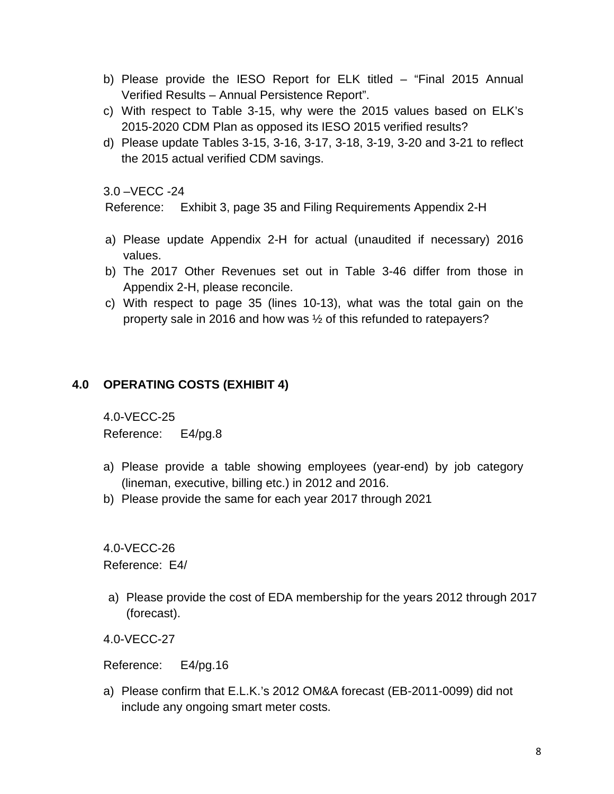- b) Please provide the IESO Report for ELK titled "Final 2015 Annual Verified Results – Annual Persistence Report".
- c) With respect to Table 3-15, why were the 2015 values based on ELK's 2015-2020 CDM Plan as opposed its IESO 2015 verified results?
- d) Please update Tables 3-15, 3-16, 3-17, 3-18, 3-19, 3-20 and 3-21 to reflect the 2015 actual verified CDM savings.

3.0 –VECC -24

Reference: Exhibit 3, page 35 and Filing Requirements Appendix 2-H

- a) Please update Appendix 2-H for actual (unaudited if necessary) 2016 values.
- b) The 2017 Other Revenues set out in Table 3-46 differ from those in Appendix 2-H, please reconcile.
- c) With respect to page 35 (lines 10-13), what was the total gain on the property sale in 2016 and how was ½ of this refunded to ratepayers?

## **4.0 OPERATING COSTS (EXHIBIT 4)**

4.0-VECC-25 Reference: E4/pg.8

- a) Please provide a table showing employees (year-end) by job category (lineman, executive, billing etc.) in 2012 and 2016.
- b) Please provide the same for each year 2017 through 2021

4.0-VECC-26 Reference: E4/

a) Please provide the cost of EDA membership for the years 2012 through 2017 (forecast).

4.0-VECC-27

Reference: E4/pg.16

a) Please confirm that E.L.K.'s 2012 OM&A forecast (EB-2011-0099) did not include any ongoing smart meter costs.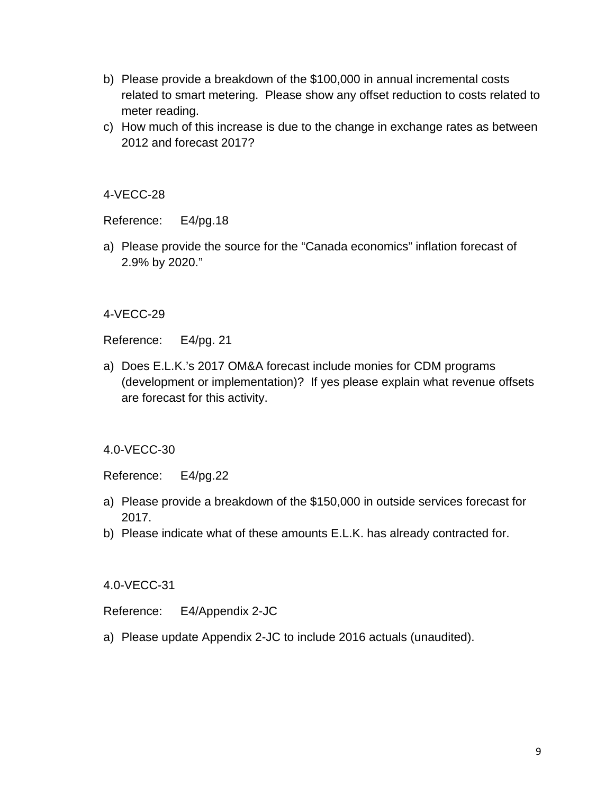- b) Please provide a breakdown of the \$100,000 in annual incremental costs related to smart metering. Please show any offset reduction to costs related to meter reading.
- c) How much of this increase is due to the change in exchange rates as between 2012 and forecast 2017?

4-VECC-28

Reference: E4/pg.18

a) Please provide the source for the "Canada economics" inflation forecast of 2.9% by 2020."

4-VECC-29

Reference: E4/pg. 21

a) Does E.L.K.'s 2017 OM&A forecast include monies for CDM programs (development or implementation)? If yes please explain what revenue offsets are forecast for this activity.

4.0-VECC-30

Reference: E4/pg.22

- a) Please provide a breakdown of the \$150,000 in outside services forecast for 2017.
- b) Please indicate what of these amounts E.L.K. has already contracted for.

4.0-VECC-31

Reference: E4/Appendix 2-JC

a) Please update Appendix 2-JC to include 2016 actuals (unaudited).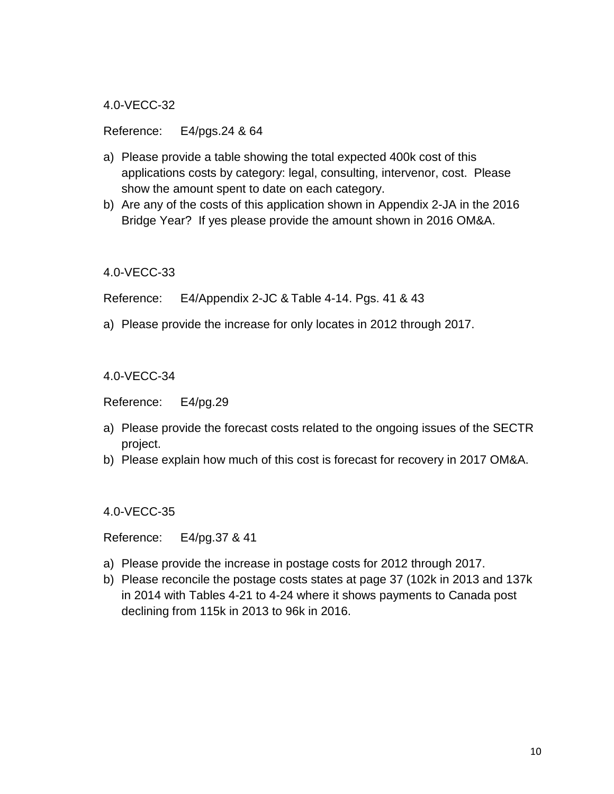4.0-VECC-32

Reference: E4/pgs.24 & 64

- a) Please provide a table showing the total expected 400k cost of this applications costs by category: legal, consulting, intervenor, cost. Please show the amount spent to date on each category.
- b) Are any of the costs of this application shown in Appendix 2-JA in the 2016 Bridge Year? If yes please provide the amount shown in 2016 OM&A.

4.0-VECC-33

Reference: E4/Appendix 2-JC & Table 4-14. Pgs. 41 & 43

a) Please provide the increase for only locates in 2012 through 2017.

4.0-VECC-34

Reference: E4/pg.29

- a) Please provide the forecast costs related to the ongoing issues of the SECTR project.
- b) Please explain how much of this cost is forecast for recovery in 2017 OM&A.

4.0-VECC-35

Reference: E4/pg.37 & 41

- a) Please provide the increase in postage costs for 2012 through 2017.
- b) Please reconcile the postage costs states at page 37 (102k in 2013 and 137k in 2014 with Tables 4-21 to 4-24 where it shows payments to Canada post declining from 115k in 2013 to 96k in 2016.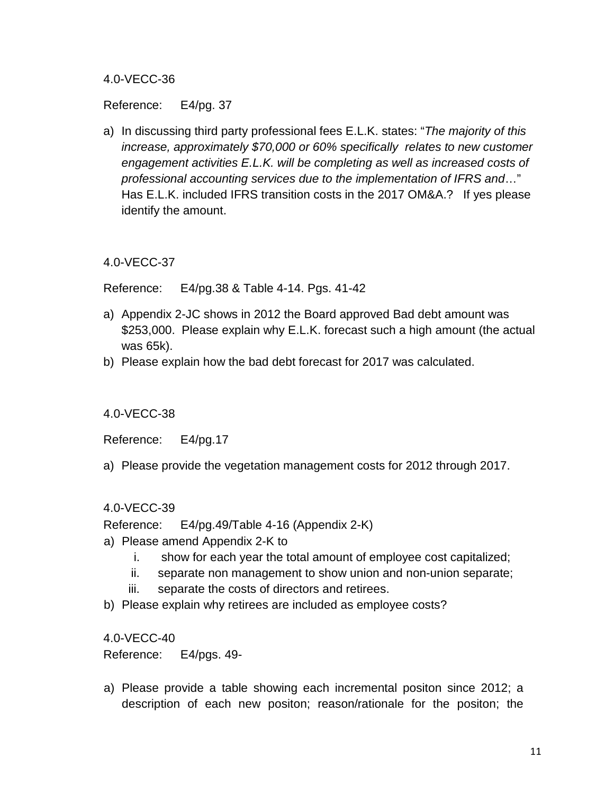#### 4.0-VECC-36

Reference: E4/pg. 37

a) In discussing third party professional fees E.L.K. states: "*The majority of this increase, approximately \$70,000 or 60% specifically relates to new customer engagement activities E.L.K. will be completing as well as increased costs of professional accounting services due to the implementation of IFRS and*…" Has E.L.K. included IFRS transition costs in the 2017 OM&A.? If yes please identify the amount.

4.0-VECC-37

Reference: E4/pg.38 & Table 4-14. Pgs. 41-42

- a) Appendix 2-JC shows in 2012 the Board approved Bad debt amount was \$253,000. Please explain why E.L.K. forecast such a high amount (the actual was 65k).
- b) Please explain how the bad debt forecast for 2017 was calculated.

4.0-VECC-38

Reference: E4/pg.17

a) Please provide the vegetation management costs for 2012 through 2017.

#### 4.0-VECC-39

Reference: E4/pg.49/Table 4-16 (Appendix 2-K)

- a) Please amend Appendix 2-K to
	- i. show for each year the total amount of employee cost capitalized;
	- ii. separate non management to show union and non-union separate;
	- iii. separate the costs of directors and retirees.
- b) Please explain why retirees are included as employee costs?

4.0-VECC-40

Reference: E4/pgs. 49-

a) Please provide a table showing each incremental positon since 2012; a description of each new positon; reason/rationale for the positon; the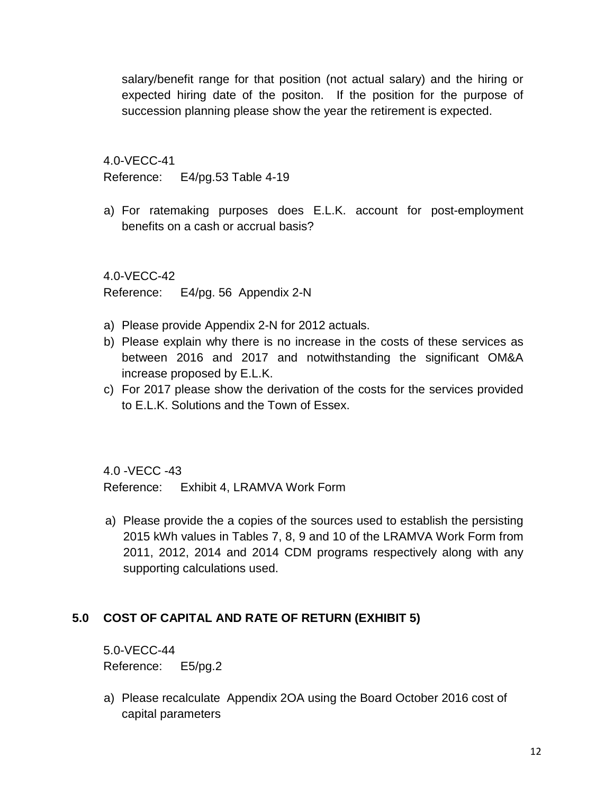salary/benefit range for that position (not actual salary) and the hiring or expected hiring date of the positon. If the position for the purpose of succession planning please show the year the retirement is expected.

4.0-VECC-41

Reference: E4/pg.53 Table 4-19

a) For ratemaking purposes does E.L.K. account for post-employment benefits on a cash or accrual basis?

4.0-VECC-42

Reference: E4/pg. 56 Appendix 2-N

- a) Please provide Appendix 2-N for 2012 actuals.
- b) Please explain why there is no increase in the costs of these services as between 2016 and 2017 and notwithstanding the significant OM&A increase proposed by E.L.K.
- c) For 2017 please show the derivation of the costs for the services provided to E.L.K. Solutions and the Town of Essex.

4.0 -VECC -43 Reference: Exhibit 4, LRAMVA Work Form

a) Please provide the a copies of the sources used to establish the persisting 2015 kWh values in Tables 7, 8, 9 and 10 of the LRAMVA Work Form from 2011, 2012, 2014 and 2014 CDM programs respectively along with any supporting calculations used.

## **5.0 COST OF CAPITAL AND RATE OF RETURN (EXHIBIT 5)**

5.0-VECC-44 Reference: E5/pg.2

a) Please recalculate Appendix 2OA using the Board October 2016 cost of capital parameters